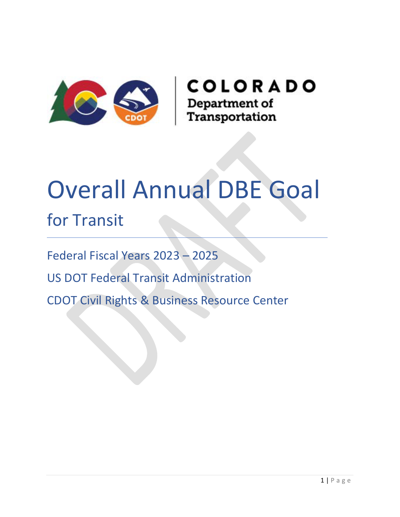

# Overall Annual DBE Goal for Transit

Federal Fiscal Years 2023 – 2025

US DOT Federal Transit Administration

CDOT Civil Rights & Business Resource Center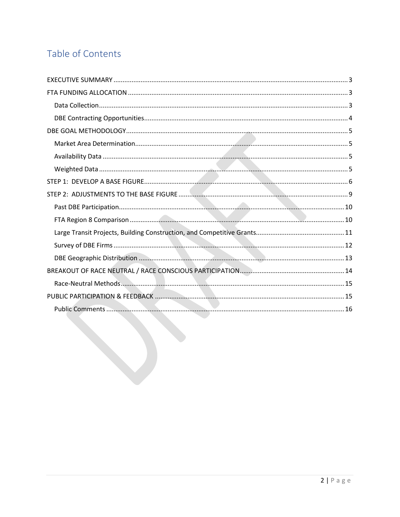# Table of Contents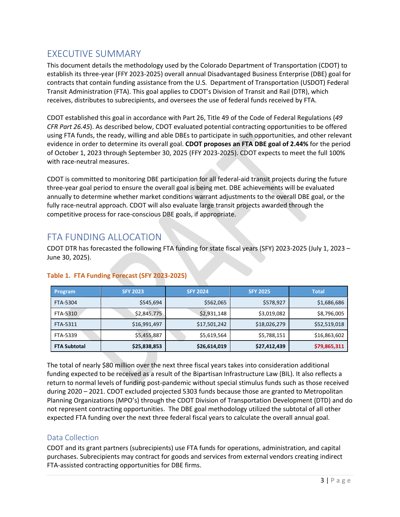# <span id="page-2-0"></span>EXECUTIVE SUMMARY

This document details the methodology used by the Colorado Department of Transportation (CDOT) to establish its three-year (FFY 2023-2025) overall annual Disadvantaged Business Enterprise (DBE) goal for contracts that contain funding assistance from the U.S. Department of Transportation (USDOT) Federal Transit Administration (FTA). This goal applies to CDOT's Division of Transit and Rail (DTR), which receives, distributes to subrecipients, and oversees the use of federal funds received by FTA.

CDOT established this goal in accordance with Part 26, Title 49 of the Code of Federal Regulations (*49 CFR Part 26.45*). As described below, CDOT evaluated potential contracting opportunities to be offered using FTA funds, the ready, willing and able DBEs to participate in such opportunities, and other relevant evidence in order to determine its overall goal. **CDOT proposes an FTA DBE goal of 2.44%** for the period of October 1, 2023 through September 30, 2025 (FFY 2023-2025). CDOT expects to meet the full 100% with race-neutral measures.

CDOT is committed to monitoring DBE participation for all federal-aid transit projects during the future three-year goal period to ensure the overall goal is being met. DBE achievements will be evaluated annually to determine whether market conditions warrant adjustments to the overall DBE goal, or the fully race-neutral approach. CDOT will also evaluate large transit projects awarded through the competitive process for race-conscious DBE goals, if appropriate.

# <span id="page-2-1"></span>FTA FUNDING ALLOCATION

CDOT DTR has forecasted the following FTA funding for state fiscal years (SFY) 2023-2025 (July 1, 2023 – June 30, 2025).

| <b>Program</b>      | <b>SFY 2023</b> | <b>SFY 2024</b> | <b>SFY 2025</b> | <b>Total</b> |
|---------------------|-----------------|-----------------|-----------------|--------------|
| FTA-5304            | \$545,694       | \$562,065       | \$578,927       | \$1,686,686  |
| FTA-5310            | \$2,845,775     | \$2,931,148     | \$3,019,082     | \$8,796,005  |
| FTA-5311            | \$16,991,497    | \$17,501,242    | \$18,026,279    | \$52,519,018 |
| FTA-5339            | \$5,455,887     | \$5,619,564     | \$5,788,151     | \$16,863,602 |
| <b>FTA Subtotal</b> | \$25,838,853    | \$26,614,019    | \$27,412,439    | \$79,865,311 |

# **Table 1. FTA Funding Forecast (SFY 2023-2025)**

The total of nearly \$80 million over the next three fiscal years takes into consideration additional funding expected to be received as a result of the Bipartisan Infrastructure Law (BIL). It also reflects a return to normal levels of funding post-pandemic without special stimulus funds such as those received during 2020 – 2021. CDOT excluded projected 5303 funds because those are granted to Metropolitan Planning Organizations (MPO's) through the CDOT Division of Transportation Development (DTD) and do not represent contracting opportunities. The DBE goal methodology utilized the subtotal of all other expected FTA funding over the next three federal fiscal years to calculate the overall annual goal.

# <span id="page-2-2"></span>Data Collection

CDOT and its grant partners (subrecipients) use FTA funds for operations, administration, and capital purchases. Subrecipients may contract for goods and services from external vendors creating indirect FTA-assisted contracting opportunities for DBE firms.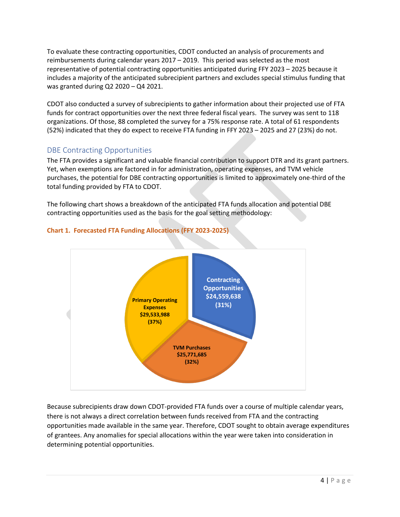To evaluate these contracting opportunities, CDOT conducted an analysis of procurements and reimbursements during calendar years 2017 – 2019. This period was selected as the most representative of potential contracting opportunities anticipated during FFY 2023 – 2025 because it includes a majority of the anticipated subrecipient partners and excludes special stimulus funding that was granted during Q2 2020 – Q4 2021.

CDOT also conducted a survey of subrecipients to gather information about their projected use of FTA funds for contract opportunities over the next three federal fiscal years. The survey was sent to 118 organizations. Of those, 88 completed the survey for a 75% response rate. A total of 61 respondents (52%) indicated that they do expect to receive FTA funding in FFY 2023 – 2025 and 27 (23%) do not.

# <span id="page-3-0"></span>DBE Contracting Opportunities

The FTA provides a significant and valuable financial contribution to support DTR and its grant partners. Yet, when exemptions are factored in for administration, operating expenses, and TVM vehicle purchases, the potential for DBE contracting opportunities is limited to approximately one-third of the total funding provided by FTA to CDOT.

The following chart shows a breakdown of the anticipated FTA funds allocation and potential DBE contracting opportunities used as the basis for the goal setting methodology:



### **Chart 1. Forecasted FTA Funding Allocations (FFY 2023-2025)**

Because subrecipients draw down CDOT-provided FTA funds over a course of multiple calendar years, there is not always a direct correlation between funds received from FTA and the contracting opportunities made available in the same year. Therefore, CDOT sought to obtain average expenditures of grantees. Any anomalies for special allocations within the year were taken into consideration in determining potential opportunities.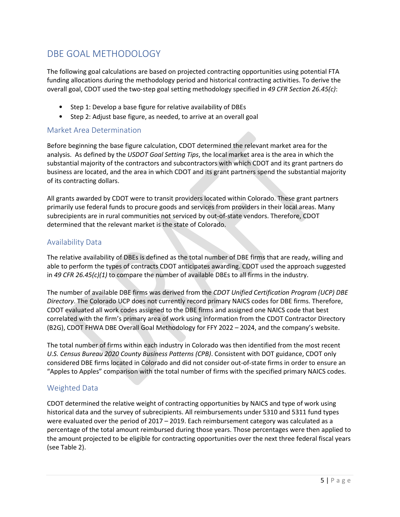# <span id="page-4-0"></span>DBE GOAL METHODOLOGY

The following goal calculations are based on projected contracting opportunities using potential FTA funding allocations during the methodology period and historical contracting activities. To derive the overall goal, CDOT used the two-step goal setting methodology specified in *49 CFR Section 26.45(c)*:

- Step 1: Develop a base figure for relative availability of DBEs
- Step 2: Adjust base figure, as needed, to arrive at an overall goal

#### <span id="page-4-1"></span>Market Area Determination

Before beginning the base figure calculation, CDOT determined the relevant market area for the analysis. As defined by the *USDOT Goal Setting Tips*, the local market area is the area in which the substantial majority of the contractors and subcontractors with which CDOT and its grant partners do business are located, and the area in which CDOT and its grant partners spend the substantial majority of its contracting dollars.

All grants awarded by CDOT were to transit providers located within Colorado. These grant partners primarily use federal funds to procure goods and services from providers in their local areas. Many subrecipients are in rural communities not serviced by out-of-state vendors. Therefore, CDOT determined that the relevant market is the state of Colorado.

### <span id="page-4-2"></span>Availability Data

The relative availability of DBEs is defined as the total number of DBE firms that are ready, willing and able to perform the types of contracts CDOT anticipates awarding. CDOT used the approach suggested in *49 CFR 26.45(c)(1)* to compare the number of available DBEs to all firms in the industry.

The number of available DBE firms was derived from the *CDOT Unified Certification Program (UCP) DBE Directory*. The Colorado UCP does not currently record primary NAICS codes for DBE firms. Therefore, CDOT evaluated all work codes assigned to the DBE firms and assigned one NAICS code that best correlated with the firm's primary area of work using information from the CDOT Contractor Directory (B2G), CDOT FHWA DBE Overall Goal Methodology for FFY 2022 – 2024, and the company's website.

The total number of firms within each industry in Colorado was then identified from the most recent *U.S. Census Bureau 2020 County Business Patterns (CPB)*. Consistent with DOT guidance, CDOT only considered DBE firms located in Colorado and did not consider out-of-state firms in order to ensure an "Apples to Apples" comparison with the total number of firms with the specified primary NAICS codes.

### <span id="page-4-3"></span>Weighted Data

CDOT determined the relative weight of contracting opportunities by NAICS and type of work using historical data and the survey of subrecipients. All reimbursements under 5310 and 5311 fund types were evaluated over the period of 2017 – 2019. Each reimbursement category was calculated as a percentage of the total amount reimbursed during those years. Those percentages were then applied to the amount projected to be eligible for contracting opportunities over the next three federal fiscal years (see Table 2).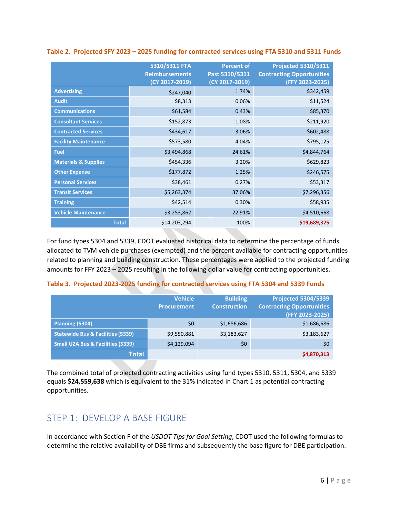|                                 | 5310/5311 FTA<br><b>Reimbursements</b><br>(CY 2017-2019) | <b>Percent of</b><br>Past 5310/5311<br>(CY 2017-2019) | <b>Projected 5310/5311</b><br><b>Contracting Opportunities</b><br>(FFY 2023-2025) |
|---------------------------------|----------------------------------------------------------|-------------------------------------------------------|-----------------------------------------------------------------------------------|
| <b>Advertising</b>              | \$247,040                                                | 1.74%                                                 | \$342,459                                                                         |
| <b>Audit</b>                    | \$8,313                                                  | 0.06%                                                 | \$11,524                                                                          |
| <b>Communications</b>           | \$61,584                                                 | 0.43%                                                 | \$85,370                                                                          |
| <b>Consultant Services</b>      | \$152,873                                                | 1.08%                                                 | \$211,920                                                                         |
| <b>Contracted Services</b>      | \$434,617                                                | 3.06%                                                 | \$602,488                                                                         |
| <b>Facility Maintenance</b>     | \$573,580                                                | 4.04%                                                 | \$795,125                                                                         |
| <b>Fuel</b>                     | \$3,494,868                                              | 24.61%                                                | \$4,844,764                                                                       |
| <b>Materials &amp; Supplies</b> | \$454,336                                                | 3.20%                                                 | \$629,823                                                                         |
| <b>Other Expense</b>            | \$177,872                                                | 1.25%                                                 | \$246,575                                                                         |
| <b>Personal Services</b>        | \$38,461                                                 | 0.27%                                                 | \$53,317                                                                          |
| <b>Transit Services</b>         | \$5,263,374                                              | 37.06%                                                | \$7,296,356                                                                       |
| <b>Training</b>                 | \$42,514                                                 | 0.30%                                                 | \$58,935                                                                          |
| <b>Vehicle Maintenance</b>      | \$3,253,862                                              | 22.91%                                                | \$4,510,668                                                                       |
| <b>Total</b>                    | \$14,203,294                                             | 100%                                                  | \$19,689,325                                                                      |

#### **Table 2. Projected SFY 2023 – 2025 funding for contracted services using FTA 5310 and 5311 Funds**

For fund types 5304 and 5339, CDOT evaluated historical data to determine the percentage of funds allocated to TVM vehicle purchases (exempted) and the percent available for contracting opportunities related to planning and building construction. These percentages were applied to the projected funding amounts for FFY 2023 – 2025 resulting in the following dollar value for contracting opportunities.

#### **Table 3. Projected 2023-2025 funding for contracted services using FTA 5304 and 5339 Funds**

|                                              | <b>Vehicle</b><br><b>Procurement</b> | <b>Building</b><br><b>Construction</b> | <b>Projected 5304/5339</b><br><b>Contracting Opportunities</b><br>(FFY 2023-2025) |
|----------------------------------------------|--------------------------------------|----------------------------------------|-----------------------------------------------------------------------------------|
| Planning (5304)                              | \$0                                  | \$1,686,686                            | \$1,686,686                                                                       |
| <b>Statewide Bus &amp; Facilities (5339)</b> | \$9,550,881                          | \$3,183,627                            | \$3,183,627                                                                       |
| <b>Small UZA Bus &amp; Facilities (5339)</b> | \$4,129,094                          | \$0                                    | \$0                                                                               |
| <b>Total</b>                                 |                                      |                                        | \$4,870,313                                                                       |

The combined total of projected contracting activities using fund types 5310, 5311, 5304, and 5339 equals **\$24,559,638** which is equivalent to the 31% indicated in Chart 1 as potential contracting opportunities.

# <span id="page-5-0"></span>STEP 1: DEVELOP A BASE FIGURE

In accordance with Section F of the *USDOT Tips for Goal Setting*, CDOT used the following formulas to determine the relative availability of DBE firms and subsequently the base figure for DBE participation.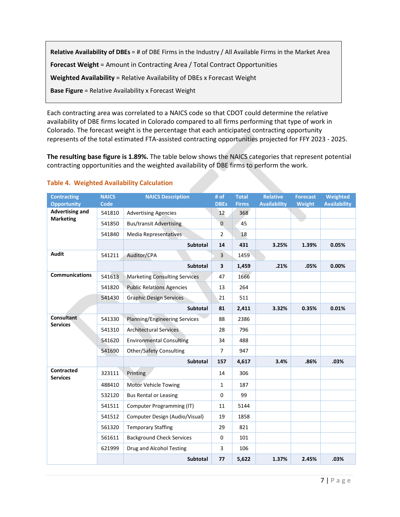**Relative Availability of DBEs** = # of DBE Firms in the Industry / All Available Firms in the Market Area **Forecast Weight** = Amount in Contracting Area / Total Contract Opportunities **Weighted Availability** = Relative Availability of DBEs x Forecast Weight **Base Figure** = Relative Availability x Forecast Weight

Each contracting area was correlated to a NAICS code so that CDOT could determine the relative availability of DBE firms located in Colorado compared to all firms performing that type of work in Colorado. The forecast weight is the percentage that each anticipated contracting opportunity represents of the total estimated FTA-assisted contracting opportunities projected for FFY 2023 - 2025.

**The resulting base figure is 1.89%.** The table below shows the NAICS categories that represent potential contracting opportunities and the weighted availability of DBE firms to perform the work.

| <b>Contracting</b>                         | <b>NAICS</b> | <b>NAICS Description</b>             | # of           | <b>Total</b> | <b>Relative</b>     | <b>Forecast</b> | Weighted            |
|--------------------------------------------|--------------|--------------------------------------|----------------|--------------|---------------------|-----------------|---------------------|
| <b>Opportunity</b>                         | Code         |                                      | <b>DBEs</b>    | <b>Firms</b> | <b>Availability</b> | <b>Weight</b>   | <b>Availability</b> |
| <b>Advertising and</b><br><b>Marketing</b> | 541810       | <b>Advertising Agencies</b>          | 12             | 368          |                     |                 |                     |
|                                            | 541850       | <b>Bus/transit Advertising</b>       | $\mathbf 0$    | 45           |                     |                 |                     |
|                                            | 541840       | Media Representatives                | 2              | 18           |                     |                 |                     |
|                                            |              | <b>Subtotal</b>                      | 14             | 431          | 3.25%               | 1.39%           | 0.05%               |
| <b>Audit</b>                               | 541211       | Auditor/CPA                          | 3              | 1459         |                     |                 |                     |
|                                            |              | <b>Subtotal</b>                      | 3              | 1,459        | .21%                | .05%            | 0.00%               |
| <b>Communications</b>                      | 541613       | <b>Marketing Consulting Services</b> | 47             | 1666         |                     |                 |                     |
|                                            | 541820       | <b>Public Relations Agencies</b>     | 13             | 264          |                     |                 |                     |
|                                            | 541430       | <b>Graphic Design Services</b>       | 21             | 511          |                     |                 |                     |
|                                            |              | <b>Subtotal</b>                      | 81             | 2,411        | 3.32%               | 0.35%           | 0.01%               |
| <b>Consultant</b><br><b>Services</b>       | 541330       | <b>Planning/Engineering Services</b> | 88             | 2386         |                     |                 |                     |
|                                            | 541310       | <b>Architectural Services</b>        | 28             | 796          |                     |                 |                     |
|                                            | 541620       | <b>Environmental Consulting</b>      | 34             | 488          |                     |                 |                     |
|                                            | 541690       | <b>Other/Safety Consulting</b>       | $\overline{7}$ | 947          |                     |                 |                     |
|                                            |              | Subtotal                             | 157            | 4,617        | 3.4%                | .86%            | .03%                |
| <b>Contracted</b><br><b>Services</b>       | 323111       | Printing                             | 14             | 306          |                     |                 |                     |
|                                            | 488410       | <b>Motor Vehicle Towing</b>          | $\mathbf{1}$   | 187          |                     |                 |                     |
|                                            | 532120       | <b>Bus Rental or Leasing</b>         | $\mathbf 0$    | 99           |                     |                 |                     |
|                                            | 541511       | Computer Programming (IT)            | 11             | 5144         |                     |                 |                     |
|                                            | 541512       | Computer Design (Audio/Visual)       | 19             | 1858         |                     |                 |                     |
|                                            | 561320       | <b>Temporary Staffing</b>            | 29             | 821          |                     |                 |                     |
|                                            | 561611       | <b>Background Check Services</b>     | 0              | 101          |                     |                 |                     |
|                                            | 621999       | Drug and Alcohol Testing             | 3              | 106          |                     |                 |                     |
|                                            |              | Subtotal                             | 77             | 5,622        | 1.37%               | 2.45%           | .03%                |

#### **Table 4. Weighted Availability Calculation**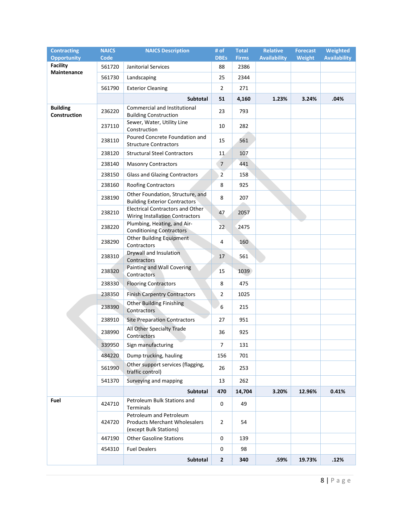| <b>Contracting</b>              | <b>NAICS</b> | <b>NAICS Description</b>                                                                  | # of           | Total        | <b>Relative</b>     | <b>Forecast</b> | Weighted            |
|---------------------------------|--------------|-------------------------------------------------------------------------------------------|----------------|--------------|---------------------|-----------------|---------------------|
| <b>Opportunity</b>              | <b>Code</b>  |                                                                                           | <b>DBEs</b>    | <b>Firms</b> | <b>Availability</b> | Weight          | <b>Availability</b> |
| <b>Facility</b><br>Maintenance  | 561720       | Janitorial Services                                                                       | 88             | 2386         |                     |                 |                     |
|                                 | 561730       | Landscaping                                                                               | 25             | 2344         |                     |                 |                     |
|                                 | 561790       | <b>Exterior Cleaning</b>                                                                  | $\overline{2}$ | 271          |                     |                 |                     |
|                                 |              | Subtotal                                                                                  | 51             | 4,160        | 1.23%               | 3.24%           | .04%                |
| <b>Building</b><br>Construction | 236220       | Commercial and Institutional<br><b>Building Construction</b>                              | 23             | 793          |                     |                 |                     |
|                                 | 237110       | Sewer, Water, Utility Line<br>Construction                                                | 10             | 282          |                     |                 |                     |
|                                 | 238110       | Poured Concrete Foundation and<br><b>Structure Contractors</b>                            | 15             | 561          |                     |                 |                     |
|                                 | 238120       | <b>Structural Steel Contractors</b>                                                       | 11             | 107          |                     |                 |                     |
|                                 | 238140       | <b>Masonry Contractors</b>                                                                | $\overline{7}$ | 441          |                     |                 |                     |
|                                 | 238150       | Glass and Glazing Contractors                                                             | $\overline{2}$ | 158          |                     |                 |                     |
|                                 | 238160       | <b>Roofing Contractors</b>                                                                | 8              | 925          |                     |                 |                     |
|                                 | 238190       | Other Foundation, Structure, and<br><b>Building Exterior Contractors</b>                  | 8              | 207          |                     |                 |                     |
|                                 | 238210       | <b>Electrical Contractors and Other</b><br>Wiring Installation Contractors                | 47             | 2057         |                     |                 |                     |
|                                 | 238220       | Plumbing, Heating, and Air-<br><b>Conditioning Contractors</b>                            | 22             | 2475         |                     |                 |                     |
|                                 | 238290       | Other Building Equipment<br>Contractors                                                   | 4              | 160          |                     |                 |                     |
|                                 | 238310       | Drywall and Insulation<br>Contractors                                                     | 17             | 561          |                     |                 |                     |
|                                 | 238320       | Painting and Wall Covering<br>Contractors                                                 | 15             | 1039         |                     |                 |                     |
|                                 | 238330       | <b>Flooring Contractors</b>                                                               | 8              | 475          |                     |                 |                     |
|                                 | 238350       | <b>Finish Carpentry Contractors</b>                                                       | $\overline{2}$ | 1025         |                     |                 |                     |
|                                 | 238390       | <b>Other Building Finishing</b><br>Contractors                                            | 6              | 215          |                     |                 |                     |
|                                 | 238910       | <b>Site Preparation Contractors</b>                                                       | 27             | 951          |                     |                 |                     |
|                                 | 238990       | All Other Specialty Trade<br>Contractors                                                  | 36             | 925          |                     |                 |                     |
|                                 | 339950       | Sign manufacturing                                                                        | $\overline{7}$ | 131          |                     |                 |                     |
|                                 | 484220       | Dump trucking, hauling                                                                    | 156            | 701          |                     |                 |                     |
|                                 | 561990       | Other support services (flagging,<br>traffic control)                                     | 26             | 253          |                     |                 |                     |
|                                 | 541370       | Surveying and mapping                                                                     | 13             | 262          |                     |                 |                     |
|                                 |              | Subtotal                                                                                  | 470            | 14,704       | 3.20%               | 12.96%          | 0.41%               |
| Fuel                            | 424710       | Petroleum Bulk Stations and<br>Terminals                                                  | 0              | 49           |                     |                 |                     |
|                                 | 424720       | Petroleum and Petroleum<br><b>Products Merchant Wholesalers</b><br>(except Bulk Stations) | $\overline{2}$ | 54           |                     |                 |                     |
|                                 | 447190       | <b>Other Gasoline Stations</b>                                                            | 0              | 139          |                     |                 |                     |
|                                 | 454310       | <b>Fuel Dealers</b>                                                                       | 0              | 98           |                     |                 |                     |
|                                 |              | Subtotal                                                                                  | $\overline{2}$ | 340          | .59%                | 19.73%          | .12%                |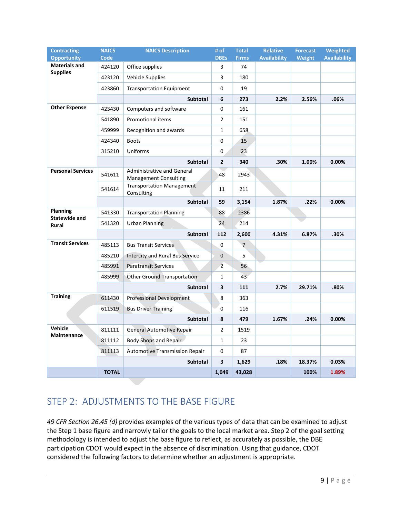| <b>Contracting</b><br><b>Opportunity</b> | <b>NAICS</b><br><b>Code</b> | <b>NAICS Description</b>                                          | # of<br><b>DBEs</b> | <b>Total</b><br><b>Firms</b> | <b>Relative</b><br><b>Availability</b> | <b>Forecast</b><br><b>Weight</b> | Weighted<br><b>Availability</b> |
|------------------------------------------|-----------------------------|-------------------------------------------------------------------|---------------------|------------------------------|----------------------------------------|----------------------------------|---------------------------------|
| <b>Materials and</b>                     | 424120                      | Office supplies                                                   | 3                   | 74                           |                                        |                                  |                                 |
| <b>Supplies</b>                          | 423120                      | <b>Vehicle Supplies</b>                                           | 3                   | 180                          |                                        |                                  |                                 |
|                                          | 423860                      | <b>Transportation Equipment</b>                                   | 0                   | 19                           |                                        |                                  |                                 |
|                                          |                             | Subtotal                                                          | 6                   | 273                          | 2.2%                                   | 2.56%                            | .06%                            |
| <b>Other Expense</b>                     | 423430                      | Computers and software                                            | 0                   | 161                          |                                        |                                  |                                 |
|                                          | 541890                      | Promotional items                                                 | 2                   | 151                          |                                        |                                  |                                 |
|                                          | 459999                      | Recognition and awards                                            | $\mathbf{1}$        | 658                          |                                        |                                  |                                 |
|                                          | 424340                      | <b>Boots</b>                                                      | 0                   | 15                           |                                        |                                  |                                 |
|                                          | 315210                      | Uniforms                                                          | 0                   | 23                           |                                        |                                  |                                 |
|                                          |                             | <b>Subtotal</b>                                                   | $\mathbf{2}$        | 340                          | .30%                                   | 1.00%                            | $0.00\%$                        |
| <b>Personal Services</b>                 | 541611                      | <b>Administrative and General</b><br><b>Management Consulting</b> | 48                  | 2943                         |                                        |                                  |                                 |
|                                          | 541614                      | <b>Transportation Management</b><br>Consulting                    | 11                  | 211                          |                                        |                                  |                                 |
|                                          |                             | Subtotal                                                          | 59                  | 3,154                        | 1.87%                                  | .22%                             | 0.00%                           |
| Planning<br><b>Statewide and</b>         | 541330                      | <b>Transportation Planning</b>                                    | 88                  | 2386                         |                                        |                                  |                                 |
| Rural                                    | 541320                      | <b>Urban Planning</b>                                             | 24                  | 214                          |                                        |                                  |                                 |
|                                          |                             | <b>Subtotal</b>                                                   | 112                 | 2,600                        | 4.31%                                  | 6.87%                            | .30%                            |
| <b>Transit Services</b>                  | 485113                      | <b>Bus Transit Services</b>                                       | 0                   | $\overline{7}$               |                                        |                                  |                                 |
|                                          | 485210                      | Intercity and Rural Bus Service                                   | $\mathbf 0$         | 5                            |                                        |                                  |                                 |
|                                          | 485991                      | <b>Paratransit Services</b>                                       | $\overline{2}$      | 56                           |                                        |                                  |                                 |
|                                          | 485999                      | <b>Other Ground Transportation</b>                                | $\mathbf{1}$        | 43                           |                                        |                                  |                                 |
|                                          |                             | <b>Subtotal</b>                                                   | 3                   | 111                          | 2.7%                                   | 29.71%                           | .80%                            |
| <b>Training</b>                          | 611430                      | <b>Professional Development</b>                                   | 8                   | 363                          |                                        |                                  |                                 |
|                                          | 611519                      | <b>Bus Driver Training</b>                                        | 0                   | 116                          |                                        |                                  |                                 |
|                                          |                             | <b>Subtotal</b>                                                   | 8                   | 479                          | 1.67%                                  | .24%                             | 0.00%                           |
| Vehicle                                  | 811111                      | <b>General Automotive Repair</b>                                  | $\overline{2}$      | 1519                         |                                        |                                  |                                 |
| <b>Maintenance</b>                       | 811112                      | Body Shops and Repair                                             | $\mathbf{1}$        | 23                           |                                        |                                  |                                 |
|                                          | 811113                      | <b>Automotive Transmission Repair</b>                             | 0                   | 87                           |                                        |                                  |                                 |
|                                          |                             | <b>Subtotal</b>                                                   | 3                   | 1,629                        | .18%                                   | 18.37%                           | 0.03%                           |
|                                          | <b>TOTAL</b>                |                                                                   | 1,049               | 43,028                       |                                        | 100%                             | 1.89%                           |

# <span id="page-8-0"></span>STEP 2: ADJUSTMENTS TO THE BASE FIGURE

*49 CFR Section 26.45 (d)* provides examples of the various types of data that can be examined to adjust the Step 1 base figure and narrowly tailor the goals to the local market area. Step 2 of the goal setting methodology is intended to adjust the base figure to reflect, as accurately as possible, the DBE participation CDOT would expect in the absence of discrimination. Using that guidance, CDOT considered the following factors to determine whether an adjustment is appropriate.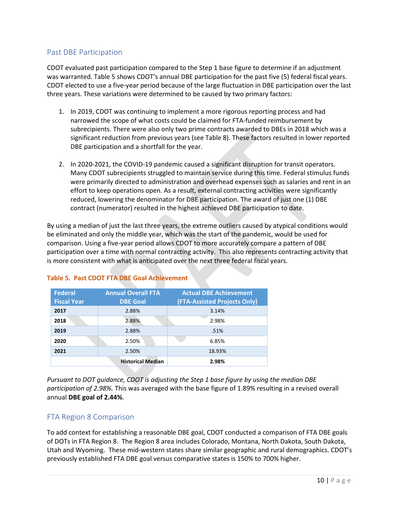### <span id="page-9-0"></span>Past DBE Participation

CDOT evaluated past participation compared to the Step 1 base figure to determine if an adjustment was warranted. Table 5 shows CDOT's annual DBE participation for the past five (5) federal fiscal years. CDOT elected to use a five-year period because of the large fluctuation in DBE participation over the last three years. These variations were determined to be caused by two primary factors:

- 1. In 2019, CDOT was continuing to implement a more rigorous reporting process and had narrowed the scope of what costs could be claimed for FTA-funded reimbursement by subrecipients. There were also only two prime contracts awarded to DBEs in 2018 which was a significant reduction from previous years (see Table 8). These factors resulted in lower reported DBE participation and a shortfall for the year.
- 2. In 2020-2021, the COVID-19 pandemic caused a significant disruption for transit operators. Many CDOT subrecipients struggled to maintain service during this time. Federal stimulus funds were primarily directed to administration and overhead expenses such as salaries and rent in an effort to keep operations open. As a result, external contracting activities were significantly reduced, lowering the denominator for DBE participation. The award of just one (1) DBE contract (numerator) resulted in the highest achieved DBE participation to date.

By using a median of just the last three years, the extreme outliers caused by atypical conditions would be eliminated and only the middle year, which was the start of the pandemic, would be used for comparison. Using a five-year period allows CDOT to more accurately compare a pattern of DBE participation over a time with normal contracting activity. This also represents contracting activity that is more consistent with what is anticipated over the next three federal fiscal years.

| <b>Federal</b><br><b>Fiscal Year</b> | <b>Annual Overall FTA</b><br><b>DBE Goal</b> | <b>Actual DBE Achievement</b><br>(FTA-Assisted Projects Only) |
|--------------------------------------|----------------------------------------------|---------------------------------------------------------------|
| 2017                                 | 2.88%                                        | 3.14%                                                         |
| 2018                                 | 2.88%                                        | 2.98%                                                         |
| 2019                                 | 2.88%                                        | .51%                                                          |
| 2020                                 | 2.50%                                        | 6.85%                                                         |
| 2021                                 | 2.50%                                        | 18.93%                                                        |
|                                      | <b>Historical Median</b>                     | 2.98%                                                         |

### **Table 5. Past CDOT FTA DBE Goal Achievement**

*Pursuant to DOT guidance, CDOT is adjusting the Step 1 base figure by using the median DBE participation of 2.98%.* This was averaged with the base figure of 1.89% resulting in a revised overall annual **DBE goal of 2.44%**.

### <span id="page-9-1"></span>FTA Region 8 Comparison

To add context for establishing a reasonable DBE goal, CDOT conducted a comparison of FTA DBE goals of DOTs in FTA Region 8. The Region 8 area includes Colorado, Montana, North Dakota, South Dakota, Utah and Wyoming. These mid-western states share similar geographic and rural demographics. CDOT's previously established FTA DBE goal versus comparative states is 150% to 700% higher.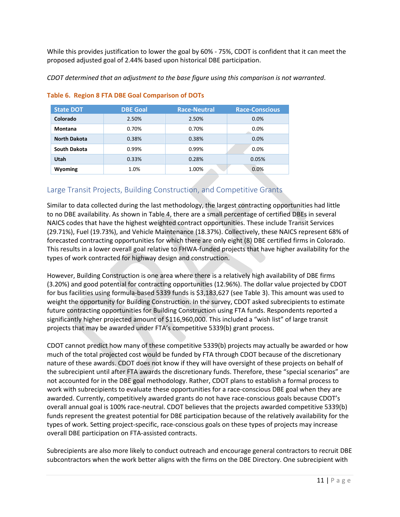While this provides justification to lower the goal by 60% - 75%, CDOT is confident that it can meet the proposed adjusted goal of 2.44% based upon historical DBE participation.

*CDOT determined that an adjustment to the base figure using this comparison is not warranted*.

| <b>State DOT</b>    | <b>DBE Goal</b> | <b>Race-Neutral</b> | <b>Race-Conscious</b> |
|---------------------|-----------------|---------------------|-----------------------|
| Colorado            | 2.50%           | 2.50%               | 0.0%                  |
| <b>Montana</b>      | 0.70%           | 0.70%               | 0.0%                  |
| <b>North Dakota</b> | 0.38%           | 0.38%               | 0.0%                  |
| South Dakota        | 0.99%           | 0.99%               | 0.0%                  |
| Utah                | 0.33%           | 0.28%               | 0.05%                 |
| Wyoming             | 1.0%            | 1.00%               | 0.0%                  |

#### **Table 6. Region 8 FTA DBE Goal Comparison of DOTs**

### <span id="page-10-0"></span>Large Transit Projects, Building Construction, and Competitive Grants

Similar to data collected during the last methodology, the largest contracting opportunities had little to no DBE availability. As shown in Table 4, there are a small percentage of certified DBEs in several NAICS codes that have the highest weighted contract opportunities. These include Transit Services (29.71%), Fuel (19.73%), and Vehicle Maintenance (18.37%). Collectively, these NAICS represent 68% of forecasted contracting opportunities for which there are only eight (8) DBE certified firms in Colorado. This results in a lower overall goal relative to FHWA-funded projects that have higher availability for the types of work contracted for highway design and construction.

However, Building Construction is one area where there is a relatively high availability of DBE firms (3.20%) and good potential for contracting opportunities (12.96%). The dollar value projected by CDOT for bus facilities using formula-based 5339 funds is \$3,183,627 (see Table 3). This amount was used to weight the opportunity for Building Construction. In the survey, CDOT asked subrecipients to estimate future contracting opportunities for Building Construction using FTA funds. Respondents reported a significantly higher projected amount of \$116,960,000. This included a "wish list" of large transit projects that may be awarded under FTA's competitive 5339(b) grant process.

CDOT cannot predict how many of these competitive 5339(b) projects may actually be awarded or how much of the total projected cost would be funded by FTA through CDOT because of the discretionary nature of these awards. CDOT does not know if they will have oversight of these projects on behalf of the subrecipient until after FTA awards the discretionary funds. Therefore, these "special scenarios" are not accounted for in the DBE goal methodology. Rather, CDOT plans to establish a formal process to work with subrecipients to evaluate these opportunities for a race-conscious DBE goal when they are awarded. Currently, competitively awarded grants do not have race-conscious goals because CDOT's overall annual goal is 100% race-neutral. CDOT believes that the projects awarded competitive 5339(b) funds represent the greatest potential for DBE participation because of the relatively availability for the types of work. Setting project-specific, race-conscious goals on these types of projects may increase overall DBE participation on FTA-assisted contracts.

Subrecipients are also more likely to conduct outreach and encourage general contractors to recruit DBE subcontractors when the work better aligns with the firms on the DBE Directory. One subrecipient with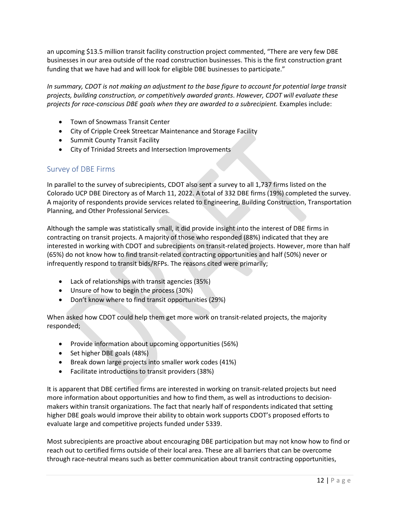an upcoming \$13.5 million transit facility construction project commented, "There are very few DBE businesses in our area outside of the road construction businesses. This is the first construction grant funding that we have had and will look for eligible DBE businesses to participate."

*In summary, CDOT is not making an adjustment to the base figure to account for potential large transit projects, building construction, or competitively awarded grants*. *However, CDOT will evaluate these projects for race-conscious DBE goals when they are awarded to a subrecipient.* Examples include:

- Town of Snowmass Transit Center
- City of Cripple Creek Streetcar Maintenance and Storage Facility
- Summit County Transit Facility
- City of Trinidad Streets and Intersection Improvements

# <span id="page-11-0"></span>Survey of DBE Firms

In parallel to the survey of subrecipients, CDOT also sent a survey to all 1,737 firms listed on the Colorado UCP DBE Directory as of March 11, 2022. A total of 332 DBE firms (19%) completed the survey. A majority of respondents provide services related to Engineering, Building Construction, Transportation Planning, and Other Professional Services.

Although the sample was statistically small, it did provide insight into the interest of DBE firms in contracting on transit projects. A majority of those who responded (88%) indicated that they are interested in working with CDOT and subrecipients on transit-related projects. However, more than half (65%) do not know how to find transit-related contracting opportunities and half (50%) never or infrequently respond to transit bids/RFPs. The reasons cited were primarily;

- Lack of relationships with transit agencies (35%)
- Unsure of how to begin the process (30%)
- Don't know where to find transit opportunities (29%)

When asked how CDOT could help them get more work on transit-related projects, the majority responded;

- Provide information about upcoming opportunities (56%)
- Set higher DBE goals (48%)
- Break down large projects into smaller work codes (41%)
- Facilitate introductions to transit providers (38%)

It is apparent that DBE certified firms are interested in working on transit-related projects but need more information about opportunities and how to find them, as well as introductions to decisionmakers within transit organizations. The fact that nearly half of respondents indicated that setting higher DBE goals would improve their ability to obtain work supports CDOT's proposed efforts to evaluate large and competitive projects funded under 5339.

Most subrecipients are proactive about encouraging DBE participation but may not know how to find or reach out to certified firms outside of their local area. These are all barriers that can be overcome through race-neutral means such as better communication about transit contracting opportunities,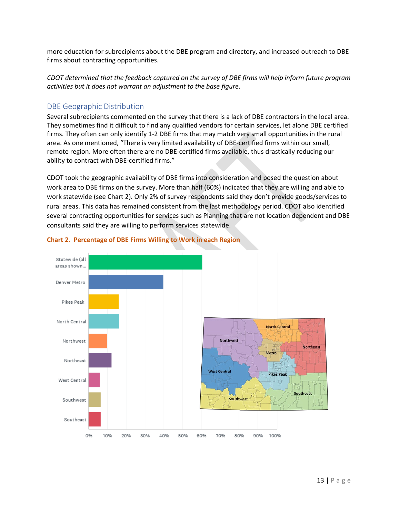more education for subrecipients about the DBE program and directory, and increased outreach to DBE firms about contracting opportunities.

*CDOT determined that the feedback captured on the survey of DBE firms will help inform future program activities but it does not warrant an adjustment to the base figure*.

### <span id="page-12-0"></span>DBE Geographic Distribution

Several subrecipients commented on the survey that there is a lack of DBE contractors in the local area. They sometimes find it difficult to find any qualified vendors for certain services, let alone DBE certified firms. They often can only identify 1-2 DBE firms that may match very small opportunities in the rural area. As one mentioned, "There is very limited availability of DBE-certified firms within our small, remote region. More often there are no DBE-certified firms available, thus drastically reducing our ability to contract with DBE-certified firms."

CDOT took the geographic availability of DBE firms into consideration and posed the question about work area to DBE firms on the survey. More than half (60%) indicated that they are willing and able to work statewide (see Chart 2). Only 2% of survey respondents said they don't provide goods/services to rural areas. This data has remained consistent from the last methodology period. CDOT also identified several contracting opportunities for services such as Planning that are not location dependent and DBE consultants said they are willing to perform services statewide.



#### **Chart 2. Percentage of DBE Firms Willing to Work in each Region**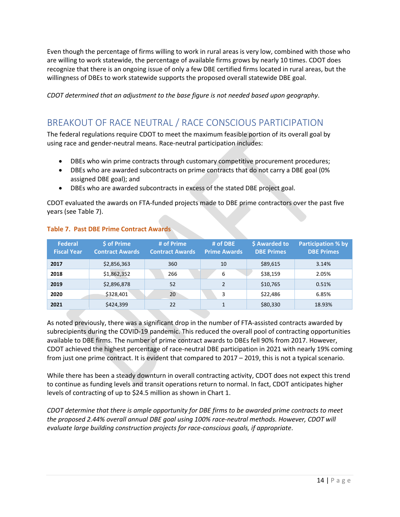Even though the percentage of firms willing to work in rural areas is very low, combined with those who are willing to work statewide, the percentage of available firms grows by nearly 10 times. CDOT does recognize that there is an ongoing issue of only a few DBE certified firms located in rural areas, but the willingness of DBEs to work statewide supports the proposed overall statewide DBE goal.

*CDOT determined that an adjustment to the base figure is not needed based upon geography*.

# <span id="page-13-0"></span>BREAKOUT OF RACE NEUTRAL / RACE CONSCIOUS PARTICIPATION

The federal regulations require CDOT to meet the maximum feasible portion of its overall goal by using race and gender‐neutral means. Race‐neutral participation includes:

- DBEs who win prime contracts through customary competitive procurement procedures;
- DBEs who are awarded subcontracts on prime contracts that do not carry a DBE goal (0% assigned DBE goal); and
- DBEs who are awarded subcontracts in excess of the stated DBE project goal.

CDOT evaluated the awards on FTA-funded projects made to DBE prime contractors over the past five years (see Table 7).

| <b>Federal</b><br><b>Fiscal Year</b> | \$ of Prime<br><b>Contract Awards</b> | # of Prime<br><b>Contract Awards</b> | # of DBE<br><b>Prime Awards</b> | \$ Awarded to<br><b>DBE Primes</b> | <b>Participation % by</b><br><b>DBE Primes</b> |
|--------------------------------------|---------------------------------------|--------------------------------------|---------------------------------|------------------------------------|------------------------------------------------|
| 2017                                 | \$2,856,363                           | 360                                  | 10                              | \$89,615                           | 3.14%                                          |
| 2018                                 | \$1,862,352                           | 266                                  | 6                               | \$38,159                           | 2.05%                                          |
| 2019                                 | \$2,896,878                           | 52                                   | $\mathfrak z$                   | \$10,765                           | 0.51%                                          |
| 2020                                 | \$328,401                             | 20                                   | 3                               | \$22,486                           | 6.85%                                          |
| 2021                                 | \$424,399                             | 22                                   |                                 | \$80,330                           | 18.93%                                         |

#### **Table 7. Past DBE Prime Contract Awards**

As noted previously, there was a significant drop in the number of FTA-assisted contracts awarded by subrecipients during the COVID-19 pandemic. This reduced the overall pool of contracting opportunities available to DBE firms. The number of prime contract awards to DBEs fell 90% from 2017. However, CDOT achieved the highest percentage of race-neutral DBE participation in 2021 with nearly 19% coming from just one prime contract. It is evident that compared to 2017 – 2019, this is not a typical scenario.

While there has been a steady downturn in overall contracting activity, CDOT does not expect this trend to continue as funding levels and transit operations return to normal. In fact, CDOT anticipates higher levels of contracting of up to \$24.5 million as shown in Chart 1.

*CDOT determine that there is ample opportunity for DBE firms to be awarded prime contracts to meet the proposed 2.44% overall annual DBE goal using 100% race-neutral methods. However, CDOT will evaluate large building construction projects for race-conscious goals, if appropriate*.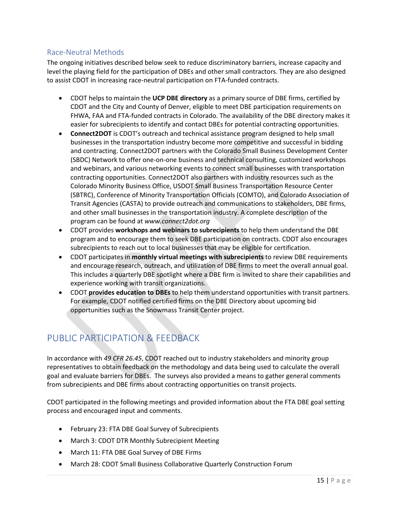# <span id="page-14-0"></span>Race‐Neutral Methods

The ongoing initiatives described below seek to reduce discriminatory barriers, increase capacity and level the playing field for the participation of DBEs and other small contractors. They are also designed to assist CDOT in increasing race‐neutral participation on FTA-funded contracts.

- CDOT helps to maintain the **UCP DBE directory** as a primary source of DBE firms, certified by CDOT and the City and County of Denver, eligible to meet DBE participation requirements on FHWA, FAA and FTA-funded contracts in Colorado. The availability of the DBE directory makes it easier for subrecipients to identify and contact DBEs for potential contracting opportunities.
- **Connect2DOT** is CDOT's outreach and technical assistance program designed to help small businesses in the transportation industry become more competitive and successful in bidding and contracting. Connect2DOT partners with the Colorado Small Business Development Center (SBDC) Network to offer one-on-one business and technical consulting, customized workshops and webinars, and various networking events to connect small businesses with transportation contracting opportunities. Connect2DOT also partners with industry resources such as the Colorado Minority Business Office, USDOT Small Business Transportation Resource Center (SBTRC), Conference of Minority Transportation Officials (COMTO), and Colorado Association of Transit Agencies (CASTA) to provide outreach and communications to stakeholders, DBE firms, and other small businesses in the transportation industry. A complete description of the program can be found at *www.connect2dot.org*
- CDOT provides **workshops and webinars to subrecipients** to help them understand the DBE program and to encourage them to seek DBE participation on contracts. CDOT also encourages subrecipients to reach out to local businesses that may be eligible for certification.
- CDOT participates in **monthly virtual meetings with subrecipients** to review DBE requirements and encourage research, outreach, and utilization of DBE firms to meet the overall annual goal. This includes a quarterly DBE spotlight where a DBE firm is invited to share their capabilities and experience working with transit organizations.
- CDOT **provides education to DBEs** to help them understand opportunities with transit partners. For example, CDOT notified certified firms on the DBE Directory about upcoming bid opportunities such as the Snowmass Transit Center project.

# <span id="page-14-1"></span>PUBLIC PARTICIPATION & FEEDBACK

In accordance with *49 CFR 26.45*, CDOT reached out to industry stakeholders and minority group representatives to obtain feedback on the methodology and data being used to calculate the overall goal and evaluate barriers for DBEs. The surveys also provided a means to gather general comments from subrecipients and DBE firms about contracting opportunities on transit projects.

CDOT participated in the following meetings and provided information about the FTA DBE goal setting process and encouraged input and comments.

- February 23: FTA DBE Goal Survey of Subrecipients
- March 3: CDOT DTR Monthly Subrecipient Meeting
- March 11: FTA DBE Goal Survey of DBE Firms
- March 28: CDOT Small Business Collaborative Quarterly Construction Forum